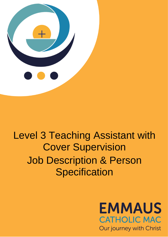

# Level 3 Teaching Assistant with Cover Supervision Job Description & Person **Specification**

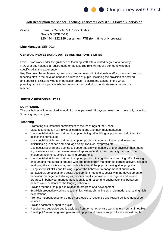

## **Job Description for School Teaching Assistant Level 3 plus Cover Supervision**

**Grade:** Emmaus Catholic MAC Pay Scales Grade 5 (SCP 7-11) £20,444 - £22,129 per annum FTE (term time only pro-rata)

### **Line Manager**: SENDCo

#### **GENERAL PROFESSIONAL DUTIES AND RESPONSIBILITIES**

Level 3 staff work under the guidance of teaching staff with a limited degree of autonomy. NVQ 3 or equivalent is a requirement for the job. The role will require someone who has specific skills and experience.

Key Features: To implement agreed work programmes with individuals and/or groups and support teaching staff in the development and education of pupils, including the provision of detailed and specialist skills/knowledge in particular areas. To assist the teacher in the whole planning cycle and supervise whole classes or groups during the short-term absence of a teacher.

## **SPECIFIC RESPONSIBILITIES**

#### **DUTY HOURS**

The postholder will be required to work 31 hours per week, 5 days per week, term time only including 5 training days per year.

### **Teaching**

- Promoting a substantial commitment to the teachings of the Gospel
- Make a contribution to individual learning plans and their implementation.
- Use specialist skills and training to support bilingual/multilingual pupils and help them to access the curriculum
- Use specialist skills and training to support pupils with communication and interaction difficulties e.g. speech and language delay, dyslexia, dyspraxia etc
- Use specialist skills and training to support pupils with sensory and/or physical impairment e.g. assistance with the development of appropriate structured learning plans and the implementation of structured learning programme.
- Use specialist skills and training to support pupils with cognition and learning difficulties e.g. encouraging the pupils to engage with and benefit from the planned learning activity, including modifying the activities as agreed with a teacher if the pupil is making slow progress.
- Using specialist skills and training support the behaviour management of pupils with
- behavioural, emotional, and social development needs e.g. assist with the development of behaviour management strategies, monitor pupil's behaviour to recognise and reward progress in behaviour management, identify and respond to uncharacteristic behaviour patterns and incidents of challenging behaviour.
- Provide feedback to pupils in relation to progress and development
- Establish productive working relationships with pupils acting as a role model and setting high expectations.
- Promote independence and employ strategies to recognise and reward achievement of selfreliance.
- Provide pastoral support to pupils
- Receive and supervise pupils excluded from, or not otherwise working to a normal timetable.
- Develop 1:1 mentoring arrangement with pupils and provide support for distressed pupils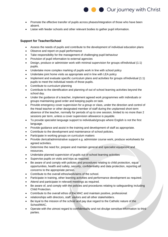

- Promote the effective transfer of pupils across phases/integration of those who have been absent.
- Liaise with feeder schools and other relevant bodies to gather pupil information.

## **Support for Teacher/School**

- Assess the needs of pupils and contribute to the development of individual education plans
- Observe and report on pupil performance
- Take responsibility for the management of challenging pupil behaviour
- Provision of pupil information to external agencies
- Design, produce or administer work with minimal supervision for groups of/individual (1:1) pupils.
- Undertake more complex marking of pupils work in line with school policy
- Undertake joint home visits as appropriate and in line with LEA policy
- Implement and evaluate specific curriculum plans and activities for groups of/individual (1:1) pupils to meet the individual needs of those pupils.
- Contribute to curriculum planning
- Contribute to the identification and planning of out of school learning activities beyond the school day.
- Under the guidance of a teacher, implement agreed work programmes with individuals or groups maintaining good order and keeping pupils on task.
- Provide emergency cover supervision for a group or class, under the direction and control of the Head teacher or other designated member of staff during the unplanned short-term absence of the teacher, normally for periods of up to one session, limited to no more than 2 sessions per term, unless a cover supervision allowance is payable.
- To provide specialist language support to individuals/groups where English is not the first language.
- Provide guidance and assist in the training and development of staff as appropriate.
- Contribute to the development and maintenance of school policies.
- Participate in working groups on curriculum matters
- Provide clerical/administrative support e.g. administer course work, produce worksheets for agreed activities.
- Determine the need for, prepare and maintain general and specialist equipment and resources.
- Undertake planned supervision of pupils out of school learning activities
- Supervise pupils on visits and trips as required.
- Be aware of and comply with policies and procedures relating to child protection, equal opportunities, health and safety, security, confidentiality and data protection, reporting all concerns to the appropriate person.
- Contribute to the overall ethos/work/aims of the school.
- Participate in training, other learning activities and performance development as required.
- Attend and participate in relevant meetings as required.
- Be aware of, and comply with the policies and procedures relating to safeguarding including Child Protection.
- Contribute to the overall ethos of the MAC and maintain positive, professional
- relationships with directors, staff, visitors and all other stakeholders.
- Be loyal to the mission of the school and pay due regard to the Catholic nature of the School/MAC.
- Operate with the utmost regard to confidentiality and not divulge sensitive information to third parties.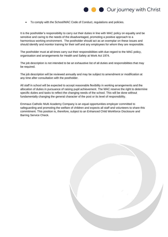

• To comply with the School/MAC Code of Conduct, regulations and policies.

It is the postholder's responsibility to carry out their duties in line with MAC policy on equality and be sensitive and caring to the needs of the disadvantaged, promoting a positive approach to a harmonious working environment. The postholder should act as an exemplar on these issues and should identify and monitor training for their self and any employees for whom they are responsible.

The postholder must at all times carry out their responsibilities with due regard to the MAC policy, organisation and arrangements for Health and Safety at Work Act 1974.

The job description is not intended to be an exhaustive list of all duties and responsibilities that may be required.

The job description will be reviewed annually and may be subject to amendment or modification at any time after consultation with the postholder.

All staff in school will be expected to accept reasonable flexibility in working arrangements and the allocation of duties in pursuance of raising pupil achievement. The MAC reserve the right to determine specific duties and tasks to reflect the changing needs of the school. This will be done without fundamentally changing the general character of the post or its level of responsibility.

Emmaus Catholic Multi Academy Company is an equal opportunities employer committed to safeguarding and promoting the welfare of children and expects all staff and volunteers to share this commitment. This position is, therefore, subject to an Enhanced Child Workforce Disclosure and Barring Service Check.

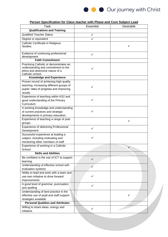

| <u>Person Specification for Class teacher with Phase and Core Subject Lead</u> |                  |           |
|--------------------------------------------------------------------------------|------------------|-----------|
| Task                                                                           | <b>Essential</b> | Desirable |
| <b>Qualifications and Training</b>                                             |                  |           |
| <b>Qualified Teacher Status</b>                                                | ✓                |           |
| Degree or equivalent                                                           | ✓                |           |
| Catholic Certificate in Religious                                              |                  |           |
| Studies.                                                                       |                  | ✓         |
|                                                                                |                  |           |
| Evidence of continuing professional                                            | ✓                |           |
| development                                                                    |                  |           |
| <b>Faith Commitment</b>                                                        |                  |           |
| Practising Catholic or demonstrates an                                         |                  |           |
| understanding and commitment to the                                            | ✓                |           |
| ethos and distinctive nature of a                                              |                  |           |
| Catholic school.                                                               |                  |           |
| <b>Knowledge and Experience</b>                                                |                  |           |
| Proven record of achieving high quality                                        |                  |           |
| teaching, increasing different groups of                                       | ✓                |           |
| pupils' rates of progress and improving                                        |                  |           |
| results                                                                        |                  |           |
| Experience of teaching within KS2 and                                          |                  |           |
| good understanding of the Primary                                              | ✓                |           |
| Curriculum.                                                                    |                  |           |
| A working knowledge and understanding                                          |                  |           |
| of current practices and strategic                                             | ✓                |           |
| developments in primary education.                                             |                  |           |
| Experience of teaching a range of year                                         |                  |           |
| groups                                                                         |                  | ✓         |
| <b>Experience of delivering Professional</b>                                   |                  |           |
| Development                                                                    | ✓                |           |
| Successful experience at leading a                                             |                  |           |
| subject, including motivating and                                              | ✓                |           |
| monitoring other members of staff                                              |                  |           |
| Experience of working in a Catholic                                            |                  |           |
| School.                                                                        |                  | ✓         |
| <b>Skills and Abilities</b>                                                    |                  |           |
| Be confident in the use of ICT to support                                      |                  |           |
| learning.                                                                      | ✓                |           |
| Understanding of effective school self-                                        |                  |           |
| evaluation systems                                                             |                  |           |
| Ability to lead and work with a team and                                       |                  |           |
| use own initiative to drive forward                                            | ✓                |           |
| improvements                                                                   |                  |           |
| A good level of grammar, punctuation                                           |                  |           |
| and spelling                                                                   | ✓                |           |
| Understanding of best practice in the                                          |                  |           |
| effective use of pupil and staff support                                       |                  |           |
| strategies available                                                           |                  |           |
| <b>Personal Qualities and Attributes</b>                                       |                  |           |
| Willing to share ideas, energy and                                             |                  |           |
| initiative.                                                                    | ✓                |           |
|                                                                                |                  |           |

#### **Person Specification for Class teacher with Phase and Core Subject Lead**